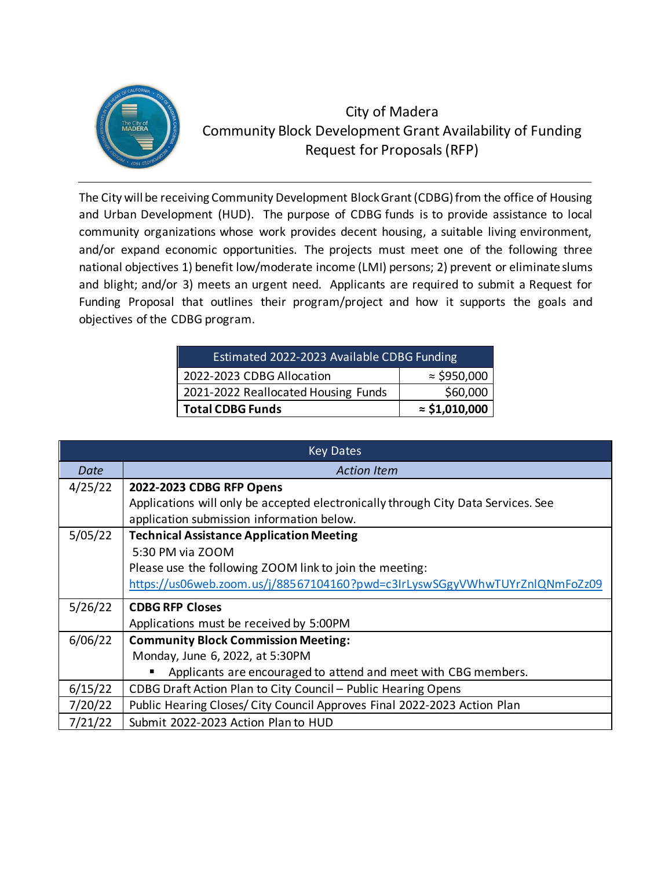

## City of Madera Community Block Development Grant Availability of Funding Request for Proposals(RFP)

The City will be receiving Community Development Block Grant (CDBG) from the office of Housing and Urban Development (HUD). The purpose of CDBG funds is to provide assistance to local community organizations whose work provides decent housing, a suitable living environment, and/or expand economic opportunities. The projects must meet one of the following three national objectives 1) benefit low/moderate income (LMI) persons; 2) prevent or eliminate slums and blight; and/or 3) meets an urgent need. Applicants are required to submit a Request for Funding Proposal that outlines their program/project and how it supports the goals and objectives of the CDBG program.

| <b>Estimated 2022-2023 Available CDBG Funding</b> |                       |
|---------------------------------------------------|-----------------------|
| 2022-2023 CDBG Allocation                         | $\approx$ \$950,000   |
| 2021-2022 Reallocated Housing Funds               | \$60,000              |
| <b>Total CDBG Funds</b>                           | $\approx$ \$1,010,000 |

| <b>Key Dates</b> |                                                                                   |
|------------------|-----------------------------------------------------------------------------------|
| Date             | <b>Action Item</b>                                                                |
| 4/25/22          | 2022-2023 CDBG RFP Opens                                                          |
|                  | Applications will only be accepted electronically through City Data Services. See |
|                  | application submission information below.                                         |
| 5/05/22          | <b>Technical Assistance Application Meeting</b>                                   |
|                  | 5:30 PM via ZOOM                                                                  |
|                  | Please use the following ZOOM link to join the meeting:                           |
|                  | https://us06web.zoom.us/j/88567104160?pwd=c3IrLyswSGgyVWhwTUYrZnlQNmFoZz09        |
| 5/26/22          | <b>CDBG RFP Closes</b>                                                            |
|                  | Applications must be received by 5:00PM                                           |
| 6/06/22          | <b>Community Block Commission Meeting:</b>                                        |
|                  | Monday, June 6, 2022, at 5:30PM                                                   |
|                  | Applicants are encouraged to attend and meet with CBG members.<br>п               |
| 6/15/22          | CDBG Draft Action Plan to City Council - Public Hearing Opens                     |
| 7/20/22          | Public Hearing Closes/ City Council Approves Final 2022-2023 Action Plan          |
| 7/21/22          | Submit 2022-2023 Action Plan to HUD                                               |